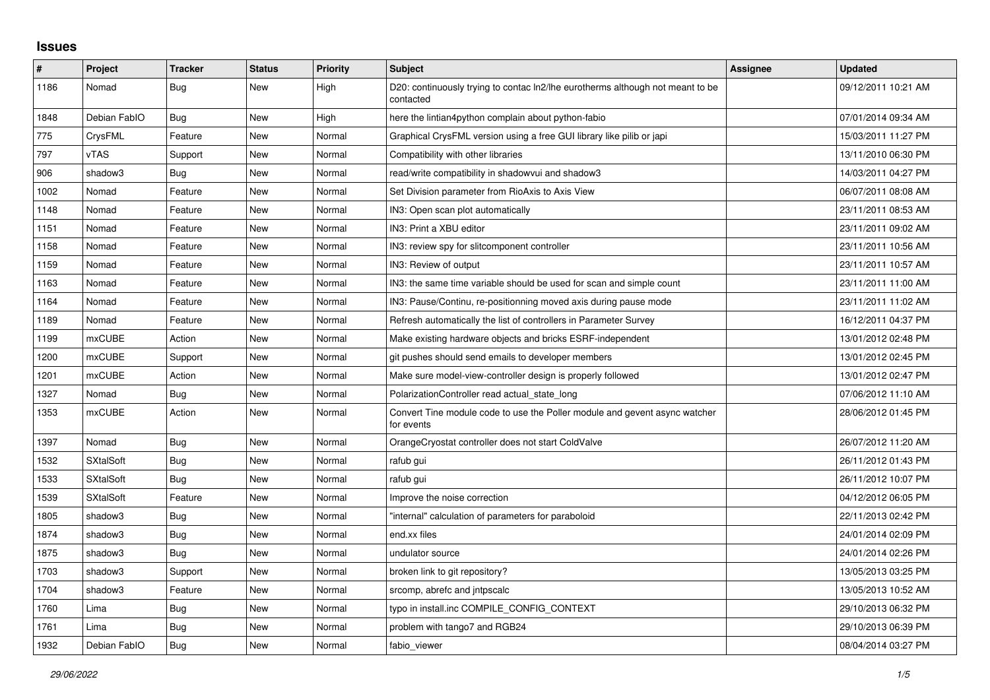## **Issues**

| $\#$ | Project          | <b>Tracker</b> | <b>Status</b> | <b>Priority</b> | <b>Subject</b>                                                                              | Assignee | <b>Updated</b>      |
|------|------------------|----------------|---------------|-----------------|---------------------------------------------------------------------------------------------|----------|---------------------|
| 1186 | Nomad            | <b>Bug</b>     | New           | High            | D20: continuously trying to contac ln2/lhe eurotherms although not meant to be<br>contacted |          | 09/12/2011 10:21 AM |
| 1848 | Debian FablO     | Bug            | New           | High            | here the lintian4python complain about python-fabio                                         |          | 07/01/2014 09:34 AM |
| 775  | CrysFML          | Feature        | <b>New</b>    | Normal          | Graphical CrysFML version using a free GUI library like pilib or japi                       |          | 15/03/2011 11:27 PM |
| 797  | <b>vTAS</b>      | Support        | <b>New</b>    | Normal          | Compatibility with other libraries                                                          |          | 13/11/2010 06:30 PM |
| 906  | shadow3          | Bug            | New           | Normal          | read/write compatibility in shadowvui and shadow3                                           |          | 14/03/2011 04:27 PM |
| 1002 | Nomad            | Feature        | New           | Normal          | Set Division parameter from RioAxis to Axis View                                            |          | 06/07/2011 08:08 AM |
| 1148 | Nomad            | Feature        | <b>New</b>    | Normal          | IN3: Open scan plot automatically                                                           |          | 23/11/2011 08:53 AM |
| 1151 | Nomad            | Feature        | New           | Normal          | IN3: Print a XBU editor                                                                     |          | 23/11/2011 09:02 AM |
| 1158 | Nomad            | Feature        | New           | Normal          | IN3: review spy for slitcomponent controller                                                |          | 23/11/2011 10:56 AM |
| 1159 | Nomad            | Feature        | <b>New</b>    | Normal          | IN3: Review of output                                                                       |          | 23/11/2011 10:57 AM |
| 1163 | Nomad            | Feature        | New           | Normal          | IN3: the same time variable should be used for scan and simple count                        |          | 23/11/2011 11:00 AM |
| 1164 | Nomad            | Feature        | New           | Normal          | IN3: Pause/Continu, re-positionning moved axis during pause mode                            |          | 23/11/2011 11:02 AM |
| 1189 | Nomad            | Feature        | <b>New</b>    | Normal          | Refresh automatically the list of controllers in Parameter Survey                           |          | 16/12/2011 04:37 PM |
| 1199 | <b>mxCUBE</b>    | Action         | New           | Normal          | Make existing hardware objects and bricks ESRF-independent                                  |          | 13/01/2012 02:48 PM |
| 1200 | <b>mxCUBE</b>    | Support        | New           | Normal          | git pushes should send emails to developer members                                          |          | 13/01/2012 02:45 PM |
| 1201 | mxCUBE           | Action         | <b>New</b>    | Normal          | Make sure model-view-controller design is properly followed                                 |          | 13/01/2012 02:47 PM |
| 1327 | Nomad            | Bug            | New           | Normal          | PolarizationController read actual state long                                               |          | 07/06/2012 11:10 AM |
| 1353 | mxCUBE           | Action         | New           | Normal          | Convert Tine module code to use the Poller module and gevent async watcher<br>for events    |          | 28/06/2012 01:45 PM |
| 1397 | Nomad            | Bug            | New           | Normal          | OrangeCryostat controller does not start ColdValve                                          |          | 26/07/2012 11:20 AM |
| 1532 | <b>SXtalSoft</b> | Bug            | New           | Normal          | rafub gui                                                                                   |          | 26/11/2012 01:43 PM |
| 1533 | <b>SXtalSoft</b> | <b>Bug</b>     | New           | Normal          | rafub gui                                                                                   |          | 26/11/2012 10:07 PM |
| 1539 | <b>SXtalSoft</b> | Feature        | New           | Normal          | Improve the noise correction                                                                |          | 04/12/2012 06:05 PM |
| 1805 | shadow3          | Bug            | New           | Normal          | "internal" calculation of parameters for paraboloid                                         |          | 22/11/2013 02:42 PM |
| 1874 | shadow3          | <b>Bug</b>     | New           | Normal          | end.xx files                                                                                |          | 24/01/2014 02:09 PM |
| 1875 | shadow3          | <b>Bug</b>     | New           | Normal          | undulator source                                                                            |          | 24/01/2014 02:26 PM |
| 1703 | shadow3          | Support        | New           | Normal          | broken link to git repository?                                                              |          | 13/05/2013 03:25 PM |
| 1704 | shadow3          | Feature        | New           | Normal          | srcomp, abrefc and intpscalc                                                                |          | 13/05/2013 10:52 AM |
| 1760 | Lima             | <b>Bug</b>     | New           | Normal          | typo in install.inc COMPILE CONFIG CONTEXT                                                  |          | 29/10/2013 06:32 PM |
| 1761 | Lima             | Bug            | New           | Normal          | problem with tango7 and RGB24                                                               |          | 29/10/2013 06:39 PM |
| 1932 | Debian FablO     | Bug            | New           | Normal          | fabio viewer                                                                                |          | 08/04/2014 03:27 PM |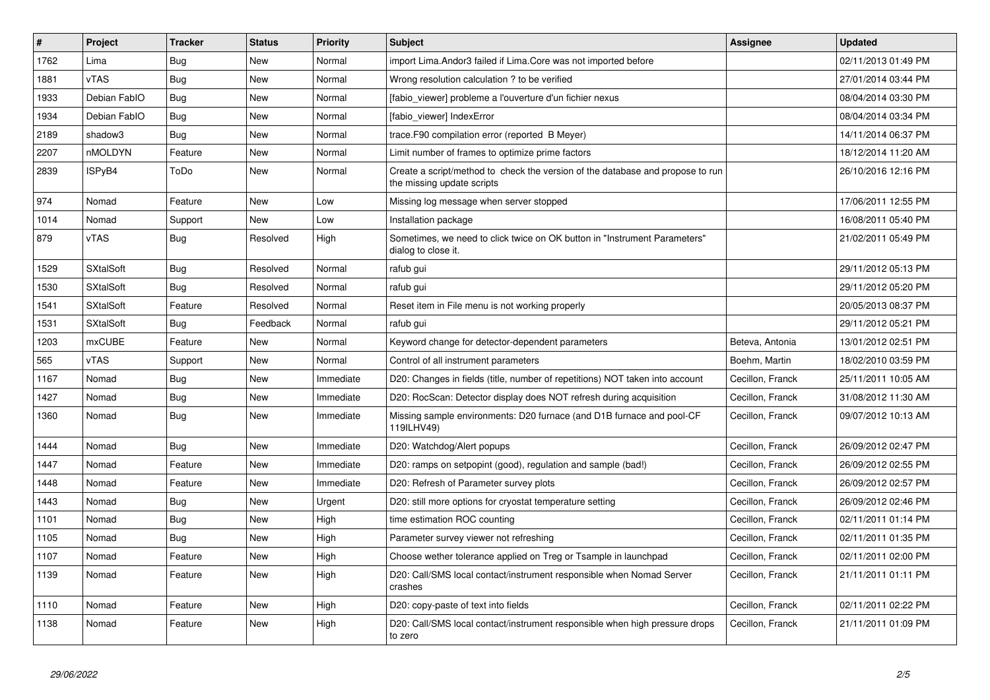| #    | <b>Project</b>   | <b>Tracker</b> | <b>Status</b> | Priority  | <b>Subject</b>                                                                                               | Assignee         | <b>Updated</b>      |
|------|------------------|----------------|---------------|-----------|--------------------------------------------------------------------------------------------------------------|------------------|---------------------|
| 1762 | Lima             | <b>Bug</b>     | New           | Normal    | import Lima. Andor3 failed if Lima. Core was not imported before                                             |                  | 02/11/2013 01:49 PM |
| 1881 | vTAS             | <b>Bug</b>     | <b>New</b>    | Normal    | Wrong resolution calculation ? to be verified                                                                |                  | 27/01/2014 03:44 PM |
| 1933 | Debian FablO     | Bug            | New           | Normal    | [fabio_viewer] probleme a l'ouverture d'un fichier nexus                                                     |                  | 08/04/2014 03:30 PM |
| 1934 | Debian FablO     | Bug            | New           | Normal    | [fabio viewer] IndexError                                                                                    |                  | 08/04/2014 03:34 PM |
| 2189 | shadow3          | Bug            | New           | Normal    | trace. F90 compilation error (reported B Meyer)                                                              |                  | 14/11/2014 06:37 PM |
| 2207 | nMOLDYN          | Feature        | <b>New</b>    | Normal    | Limit number of frames to optimize prime factors                                                             |                  | 18/12/2014 11:20 AM |
| 2839 | ISPyB4           | ToDo           | New           | Normal    | Create a script/method to check the version of the database and propose to run<br>the missing update scripts |                  | 26/10/2016 12:16 PM |
| 974  | Nomad            | Feature        | <b>New</b>    | Low       | Missing log message when server stopped                                                                      |                  | 17/06/2011 12:55 PM |
| 1014 | Nomad            | Support        | New           | Low       | Installation package                                                                                         |                  | 16/08/2011 05:40 PM |
| 879  | vTAS             | Bug            | Resolved      | High      | Sometimes, we need to click twice on OK button in "Instrument Parameters"<br>dialog to close it.             |                  | 21/02/2011 05:49 PM |
| 1529 | <b>SXtalSoft</b> | <b>Bug</b>     | Resolved      | Normal    | rafub gui                                                                                                    |                  | 29/11/2012 05:13 PM |
| 1530 | <b>SXtalSoft</b> | <b>Bug</b>     | Resolved      | Normal    | rafub gui                                                                                                    |                  | 29/11/2012 05:20 PM |
| 1541 | <b>SXtalSoft</b> | Feature        | Resolved      | Normal    | Reset item in File menu is not working properly                                                              |                  | 20/05/2013 08:37 PM |
| 1531 | <b>SXtalSoft</b> | Bug            | Feedback      | Normal    | rafub gui                                                                                                    |                  | 29/11/2012 05:21 PM |
| 1203 | <b>mxCUBE</b>    | Feature        | New           | Normal    | Keyword change for detector-dependent parameters                                                             | Beteva, Antonia  | 13/01/2012 02:51 PM |
| 565  | vTAS             | Support        | New           | Normal    | Control of all instrument parameters                                                                         | Boehm, Martin    | 18/02/2010 03:59 PM |
| 1167 | Nomad            | Bug            | New           | Immediate | D20: Changes in fields (title, number of repetitions) NOT taken into account                                 | Cecillon, Franck | 25/11/2011 10:05 AM |
| 1427 | Nomad            | Bug            | <b>New</b>    | Immediate | D20: RocScan: Detector display does NOT refresh during acquisition                                           | Cecillon, Franck | 31/08/2012 11:30 AM |
| 1360 | Nomad            | <b>Bug</b>     | New           | Immediate | Missing sample environments: D20 furnace (and D1B furnace and pool-CF<br>119ILHV49)                          | Cecillon, Franck | 09/07/2012 10:13 AM |
| 1444 | Nomad            | Bug            | <b>New</b>    | Immediate | D20: Watchdog/Alert popups                                                                                   | Cecillon, Franck | 26/09/2012 02:47 PM |
| 1447 | Nomad            | Feature        | <b>New</b>    | Immediate | D20: ramps on setpopint (good), regulation and sample (bad!)                                                 | Cecillon, Franck | 26/09/2012 02:55 PM |
| 1448 | Nomad            | Feature        | New           | Immediate | D20: Refresh of Parameter survey plots                                                                       | Cecillon, Franck | 26/09/2012 02:57 PM |
| 1443 | Nomad            | Bug            | New           | Urgent    | D20: still more options for cryostat temperature setting                                                     | Cecillon, Franck | 26/09/2012 02:46 PM |
| 1101 | Nomad            | Bug            | New           | High      | time estimation ROC counting                                                                                 | Cecillon, Franck | 02/11/2011 01:14 PM |
| 1105 | Nomad            | <b>Bug</b>     | New           | High      | Parameter survey viewer not refreshing                                                                       | Cecillon, Franck | 02/11/2011 01:35 PM |
| 1107 | Nomad            | Feature        | New           | High      | Choose wether tolerance applied on Treg or Tsample in launchpad                                              | Cecillon, Franck | 02/11/2011 02:00 PM |
| 1139 | Nomad            | Feature        | New           | High      | D20: Call/SMS local contact/instrument responsible when Nomad Server<br>crashes                              | Cecillon, Franck | 21/11/2011 01:11 PM |
| 1110 | Nomad            | Feature        | <b>New</b>    | High      | D20: copy-paste of text into fields                                                                          | Cecillon, Franck | 02/11/2011 02:22 PM |
| 1138 | Nomad            | Feature        | <b>New</b>    | High      | D20: Call/SMS local contact/instrument responsible when high pressure drops<br>to zero                       | Cecillon, Franck | 21/11/2011 01:09 PM |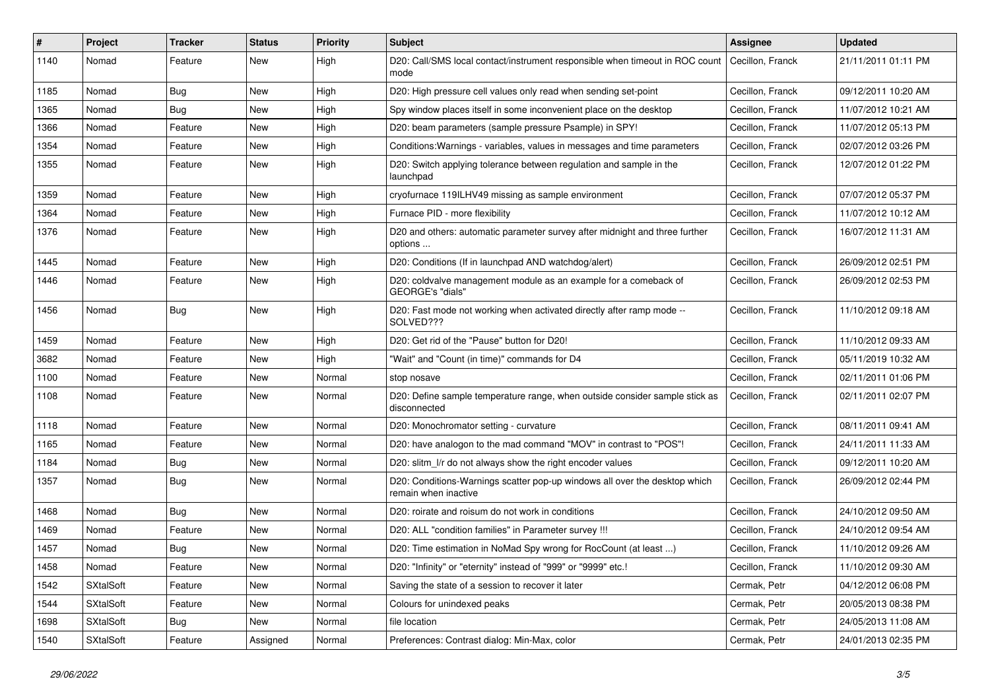| #    | Project          | <b>Tracker</b> | <b>Status</b> | <b>Priority</b> | <b>Subject</b>                                                                                     | <b>Assignee</b>  | <b>Updated</b>      |
|------|------------------|----------------|---------------|-----------------|----------------------------------------------------------------------------------------------------|------------------|---------------------|
| 1140 | Nomad            | Feature        | New           | High            | D20: Call/SMS local contact/instrument responsible when timeout in ROC count<br>mode               | Cecillon, Franck | 21/11/2011 01:11 PM |
| 1185 | Nomad            | Bug            | New           | High            | D20: High pressure cell values only read when sending set-point                                    | Cecillon, Franck | 09/12/2011 10:20 AM |
| 1365 | Nomad            | Bug            | New           | High            | Spy window places itself in some inconvenient place on the desktop                                 | Cecillon, Franck | 11/07/2012 10:21 AM |
| 1366 | Nomad            | Feature        | New           | High            | D20: beam parameters (sample pressure Psample) in SPY!                                             | Cecillon, Franck | 11/07/2012 05:13 PM |
| 1354 | Nomad            | Feature        | New           | High            | Conditions: Warnings - variables, values in messages and time parameters                           | Cecillon, Franck | 02/07/2012 03:26 PM |
| 1355 | Nomad            | Feature        | New           | High            | D20: Switch applying tolerance between regulation and sample in the<br>launchpad                   | Cecillon, Franck | 12/07/2012 01:22 PM |
| 1359 | Nomad            | Feature        | New           | High            | cryofurnace 119ILHV49 missing as sample environment                                                | Cecillon, Franck | 07/07/2012 05:37 PM |
| 1364 | Nomad            | Feature        | <b>New</b>    | High            | Furnace PID - more flexibility                                                                     | Cecillon, Franck | 11/07/2012 10:12 AM |
| 1376 | Nomad            | Feature        | New           | High            | D20 and others: automatic parameter survey after midnight and three further<br>options             | Cecillon, Franck | 16/07/2012 11:31 AM |
| 1445 | Nomad            | Feature        | New           | High            | D20: Conditions (If in launchpad AND watchdog/alert)                                               | Cecillon, Franck | 26/09/2012 02:51 PM |
| 1446 | Nomad            | Feature        | New           | High            | D20: coldvalve management module as an example for a comeback of<br>GEORGE's "dials"               | Cecillon, Franck | 26/09/2012 02:53 PM |
| 1456 | Nomad            | Bug            | New           | High            | D20: Fast mode not working when activated directly after ramp mode --<br>SOLVED???                 | Cecillon, Franck | 11/10/2012 09:18 AM |
| 1459 | Nomad            | Feature        | New           | High            | D20: Get rid of the "Pause" button for D20!                                                        | Cecillon, Franck | 11/10/2012 09:33 AM |
| 3682 | Nomad            | Feature        | New           | High            | "Wait" and "Count (in time)" commands for D4                                                       | Cecillon, Franck | 05/11/2019 10:32 AM |
| 1100 | Nomad            | Feature        | <b>New</b>    | Normal          | stop nosave                                                                                        | Cecillon, Franck | 02/11/2011 01:06 PM |
| 1108 | Nomad            | Feature        | New           | Normal          | D20: Define sample temperature range, when outside consider sample stick as<br>disconnected        | Cecillon, Franck | 02/11/2011 02:07 PM |
| 1118 | Nomad            | Feature        | New           | Normal          | D20: Monochromator setting - curvature                                                             | Cecillon, Franck | 08/11/2011 09:41 AM |
| 1165 | Nomad            | Feature        | New           | Normal          | D20: have analogon to the mad command "MOV" in contrast to "POS"!                                  | Cecillon, Franck | 24/11/2011 11:33 AM |
| 1184 | Nomad            | <b>Bug</b>     | New           | Normal          | D20: slitm I/r do not always show the right encoder values                                         | Cecillon, Franck | 09/12/2011 10:20 AM |
| 1357 | Nomad            | Bug            | New           | Normal          | D20: Conditions-Warnings scatter pop-up windows all over the desktop which<br>remain when inactive | Cecillon, Franck | 26/09/2012 02:44 PM |
| 1468 | Nomad            | Bug            | New           | Normal          | D20: roirate and roisum do not work in conditions                                                  | Cecillon, Franck | 24/10/2012 09:50 AM |
| 1469 | Nomad            | Feature        | New           | Normal          | D20: ALL "condition families" in Parameter survey !!!                                              | Cecillon, Franck | 24/10/2012 09:54 AM |
| 1457 | Nomad            | <b>Bug</b>     | <b>New</b>    | Normal          | D20: Time estimation in NoMad Spy wrong for RocCount (at least )                                   | Cecillon, Franck | 11/10/2012 09:26 AM |
| 1458 | Nomad            | Feature        | New           | Normal          | D20: "Infinity" or "eternity" instead of "999" or "9999" etc.!                                     | Cecillon, Franck | 11/10/2012 09:30 AM |
| 1542 | <b>SXtalSoft</b> | Feature        | New           | Normal          | Saving the state of a session to recover it later                                                  | Cermak, Petr     | 04/12/2012 06:08 PM |
| 1544 | <b>SXtalSoft</b> | Feature        | New           | Normal          | Colours for unindexed peaks                                                                        | Cermak, Petr     | 20/05/2013 08:38 PM |
| 1698 | <b>SXtalSoft</b> | <b>Bug</b>     | New           | Normal          | file location                                                                                      | Cermak, Petr     | 24/05/2013 11:08 AM |
| 1540 | SXtalSoft        | Feature        | Assigned      | Normal          | Preferences: Contrast dialog: Min-Max, color                                                       | Cermak, Petr     | 24/01/2013 02:35 PM |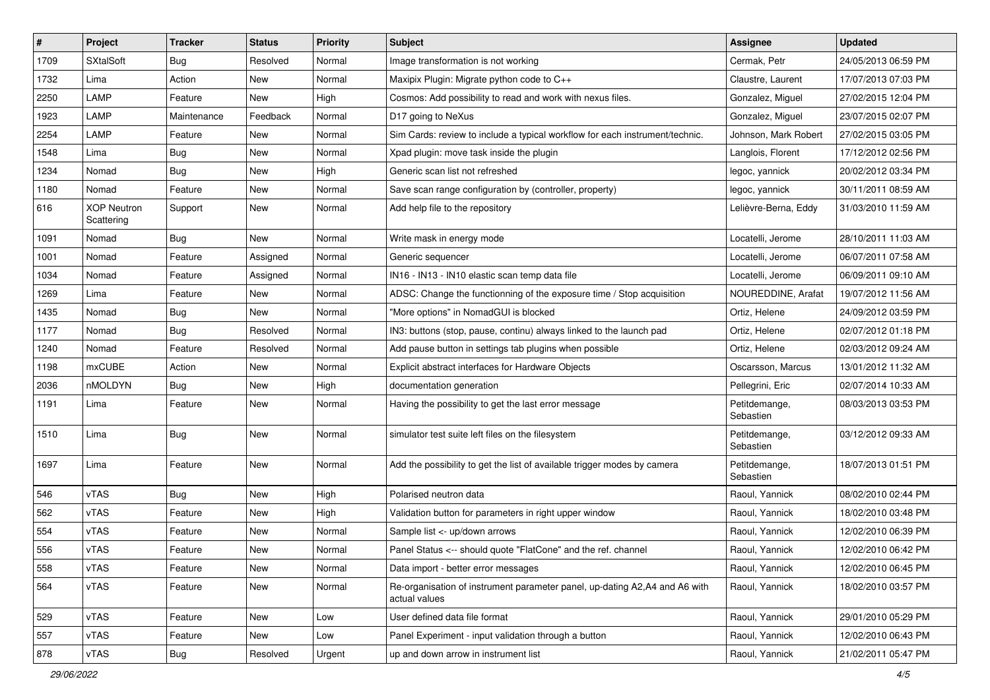| #    | Project                          | <b>Tracker</b> | <b>Status</b> | <b>Priority</b> | <b>Subject</b>                                                                              | <b>Assignee</b>            | <b>Updated</b>      |
|------|----------------------------------|----------------|---------------|-----------------|---------------------------------------------------------------------------------------------|----------------------------|---------------------|
| 1709 | <b>SXtalSoft</b>                 | <b>Bug</b>     | Resolved      | Normal          | Image transformation is not working                                                         | Cermak, Petr               | 24/05/2013 06:59 PM |
| 1732 | Lima                             | Action         | New           | Normal          | Maxipix Plugin: Migrate python code to C++                                                  | Claustre, Laurent          | 17/07/2013 07:03 PM |
| 2250 | LAMP                             | Feature        | New           | High            | Cosmos: Add possibility to read and work with nexus files.                                  | Gonzalez, Miguel           | 27/02/2015 12:04 PM |
| 1923 | LAMP                             | Maintenance    | Feedback      | Normal          | D17 going to NeXus                                                                          | Gonzalez, Miguel           | 23/07/2015 02:07 PM |
| 2254 | LAMP                             | Feature        | <b>New</b>    | Normal          | Sim Cards: review to include a typical workflow for each instrument/technic.                | Johnson, Mark Robert       | 27/02/2015 03:05 PM |
| 1548 | Lima                             | <b>Bug</b>     | New           | Normal          | Xpad plugin: move task inside the plugin                                                    | Langlois, Florent          | 17/12/2012 02:56 PM |
| 1234 | Nomad                            | <b>Bug</b>     | New           | High            | Generic scan list not refreshed                                                             | legoc, yannick             | 20/02/2012 03:34 PM |
| 1180 | Nomad                            | Feature        | New           | Normal          | Save scan range configuration by (controller, property)                                     | legoc, yannick             | 30/11/2011 08:59 AM |
| 616  | <b>XOP Neutron</b><br>Scattering | Support        | New           | Normal          | Add help file to the repository                                                             | Lelièvre-Berna, Eddy       | 31/03/2010 11:59 AM |
| 1091 | Nomad                            | <b>Bug</b>     | New           | Normal          | Write mask in energy mode                                                                   | Locatelli, Jerome          | 28/10/2011 11:03 AM |
| 1001 | Nomad                            | Feature        | Assigned      | Normal          | Generic sequencer                                                                           | Locatelli, Jerome          | 06/07/2011 07:58 AM |
| 1034 | Nomad                            | Feature        | Assigned      | Normal          | IN16 - IN13 - IN10 elastic scan temp data file                                              | Locatelli, Jerome          | 06/09/2011 09:10 AM |
| 1269 | Lima                             | Feature        | New           | Normal          | ADSC: Change the functionning of the exposure time / Stop acquisition                       | NOUREDDINE, Arafat         | 19/07/2012 11:56 AM |
| 1435 | Nomad                            | <b>Bug</b>     | New           | Normal          | "More options" in NomadGUI is blocked                                                       | Ortiz, Helene              | 24/09/2012 03:59 PM |
| 1177 | Nomad                            | <b>Bug</b>     | Resolved      | Normal          | IN3: buttons (stop, pause, continu) always linked to the launch pad                         | Ortiz, Helene              | 02/07/2012 01:18 PM |
| 1240 | Nomad                            | Feature        | Resolved      | Normal          | Add pause button in settings tab plugins when possible                                      | Ortiz, Helene              | 02/03/2012 09:24 AM |
| 1198 | mxCUBE                           | Action         | New           | Normal          | Explicit abstract interfaces for Hardware Objects                                           | Oscarsson, Marcus          | 13/01/2012 11:32 AM |
| 2036 | nMOLDYN                          | Bug            | New           | High            | documentation generation                                                                    | Pellegrini, Eric           | 02/07/2014 10:33 AM |
| 1191 | Lima                             | Feature        | New           | Normal          | Having the possibility to get the last error message                                        | Petitdemange,<br>Sebastien | 08/03/2013 03:53 PM |
| 1510 | Lima                             | <b>Bug</b>     | New           | Normal          | simulator test suite left files on the filesystem                                           | Petitdemange,<br>Sebastien | 03/12/2012 09:33 AM |
| 1697 | Lima                             | Feature        | New           | Normal          | Add the possibility to get the list of available trigger modes by camera                    | Petitdemange,<br>Sebastien | 18/07/2013 01:51 PM |
| 546  | vTAS                             | <b>Bug</b>     | New           | High            | Polarised neutron data                                                                      | Raoul, Yannick             | 08/02/2010 02:44 PM |
| 562  | vTAS                             | Feature        | New           | High            | Validation button for parameters in right upper window                                      | Raoul, Yannick             | 18/02/2010 03:48 PM |
| 554  | vTAS                             | Feature        | New           | Normal          | Sample list <- up/down arrows                                                               | Raoul, Yannick             | 12/02/2010 06:39 PM |
| 556  | vTAS                             | Feature        | New           | Normal          | Panel Status <-- should quote "FlatCone" and the ref. channel                               | Raoul, Yannick             | 12/02/2010 06:42 PM |
| 558  | vTAS                             | Feature        | New           | Normal          | Data import - better error messages                                                         | Raoul, Yannick             | 12/02/2010 06:45 PM |
| 564  | vTAS                             | Feature        | New           | Normal          | Re-organisation of instrument parameter panel, up-dating A2,A4 and A6 with<br>actual values | Raoul, Yannick             | 18/02/2010 03:57 PM |
| 529  | vTAS                             | Feature        | <b>New</b>    | Low             | User defined data file format                                                               | Raoul, Yannick             | 29/01/2010 05:29 PM |
| 557  | vTAS                             | Feature        | New           | Low             | Panel Experiment - input validation through a button                                        | Raoul, Yannick             | 12/02/2010 06:43 PM |
| 878  | vTAS                             | Bug            | Resolved      | Urgent          | up and down arrow in instrument list                                                        | Raoul, Yannick             | 21/02/2011 05:47 PM |